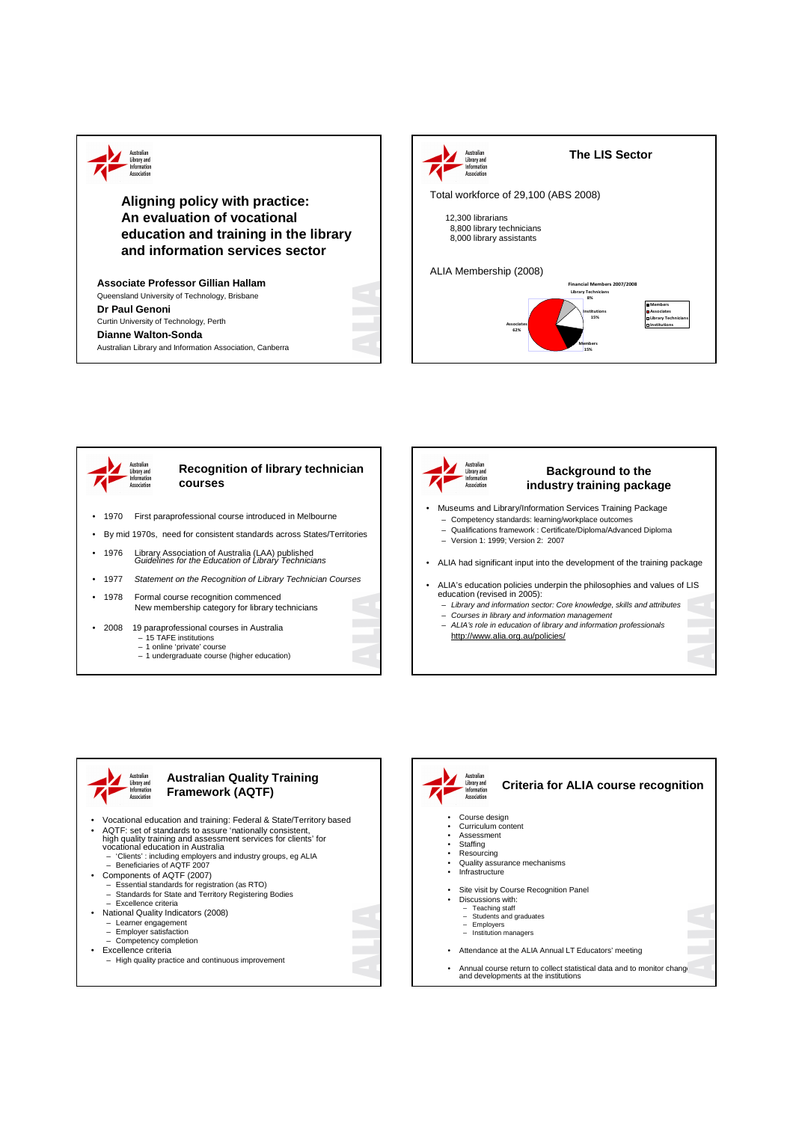

**Aligning policy with practice: An evaluation of vocational education and training in the library and information services sector**

**Associate Professor Gillian Hallam** Queensland University of Technology, Brisbane **Dr Paul Genoni** Curtin University of Technology, Perth **Dianne Walton-Sonda** Australian Library and Information Association, Canberra







## **Background to the industry training package**

- Museums and Library/Information Services Training Package
- Competency standards: learning/workplace outcomes
- Qualifications framework : Certificate/Diploma/Advanced Diploma
- Version 1: 1999; Version 2: 2007
- ALIA had significant input into the development of the training package
- ALIA's education policies underpin the philosophies and values of LIS education (revised in 2005):
	- Library and information sector: Core knowledge, skills and attributes
	- Courses in library and information management – ALIA's role in education of library and information professionals
	- http://www.alia.org.au/policies/



## **Australian Quality Training Framework (AQTF)**

- Vocational education and training: Federal & State/Territory based • AQTF: set of standards to assure 'nationally consistent, high quality training and assessment services for clients' for vocational education in Australia – 'Clients' : including employers and industry groups, eg ALIA – Beneficiaries of AQTF 2007 • Components of AQTF (2007) – Essential standards for registration (as RTO) – Standards for State and Territory Registering Bodies
	-
	- Excellence criteria
	- National Quality Indicators (2008)
	- Learner engagement Employer satisfaction
	- Competency completion
	- Excellence criteria
	- High quality practice and continuous improvement



**Criteria for ALIA course recognition**

- Course design Curriculum content
- Assessment • Staffing
- Resourcing
- Quality assurance mechanisms
- **Infrastructure**
- 
- Site visit by Course Recognition Panel<br>Discussions with:
- Discussions with: Teaching staff
	- Students and graduates
	- Employers Institution managers
- Attendance at the ALIA Annual LT Educators' meeting
- Annual course return to collect statistical data and to monitor change<br>and developments at the institutions